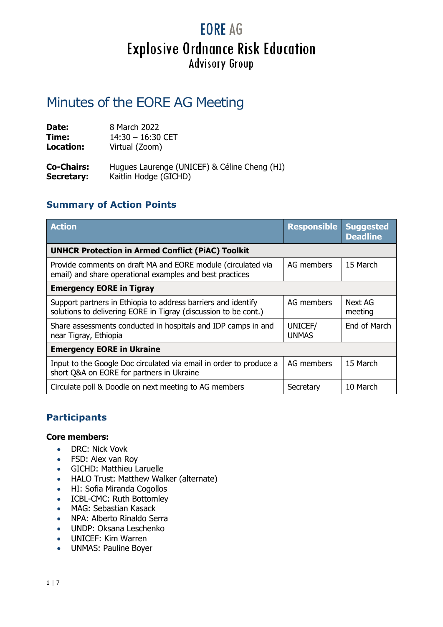## **EORE AG Explosive Ordnance Risk Education Advisory Group**

### Minutes of the EORE AG Meeting

| Date:             | 8 March 2022                                 |
|-------------------|----------------------------------------------|
| Time:             | $14:30 - 16:30$ CET                          |
| <b>Location:</b>  | Virtual (Zoom)                               |
| <b>Co-Chairs:</b> | Hugues Laurenge (UNICEF) & Céline Cheng (HI) |
| <b>Secretary:</b> | Kaitlin Hodge (GICHD)                        |

### **Summary of Action Points**

| <b>Action</b>                                                                                                                    | <b>Responsible</b>      | <b>Suggested</b><br><b>Deadline</b> |
|----------------------------------------------------------------------------------------------------------------------------------|-------------------------|-------------------------------------|
| <b>UNHCR Protection in Armed Conflict (PiAC) Toolkit</b>                                                                         |                         |                                     |
| Provide comments on draft MA and EORE module (circulated via<br>email) and share operational examples and best practices         | AG members              | 15 March                            |
| <b>Emergency EORE in Tigray</b>                                                                                                  |                         |                                     |
| Support partners in Ethiopia to address barriers and identify<br>solutions to delivering EORE in Tigray (discussion to be cont.) | AG members              | Next AG<br>meeting                  |
| Share assessments conducted in hospitals and IDP camps in and<br>near Tigray, Ethiopia                                           | UNICEF/<br><b>UNMAS</b> | End of March                        |
| <b>Emergency EORE in Ukraine</b>                                                                                                 |                         |                                     |
| Input to the Google Doc circulated via email in order to produce a<br>short Q&A on EORE for partners in Ukraine                  | AG members              | 15 March                            |
| Circulate poll & Doodle on next meeting to AG members                                                                            | Secretary               | 10 March                            |

### **Participants**

#### **Core members:**

- DRC: Nick Vovk
- FSD: Alex van Roy
- GICHD: Matthieu Laruelle
- HALO Trust: Matthew Walker (alternate)
- HI: Sofia Miranda Cogollos
- ICBL-CMC: Ruth Bottomley
- MAG: Sebastian Kasack
- NPA: Alberto Rinaldo Serra
- UNDP: Oksana Leschenko
- UNICEF: Kim Warren
- UNMAS: Pauline Boyer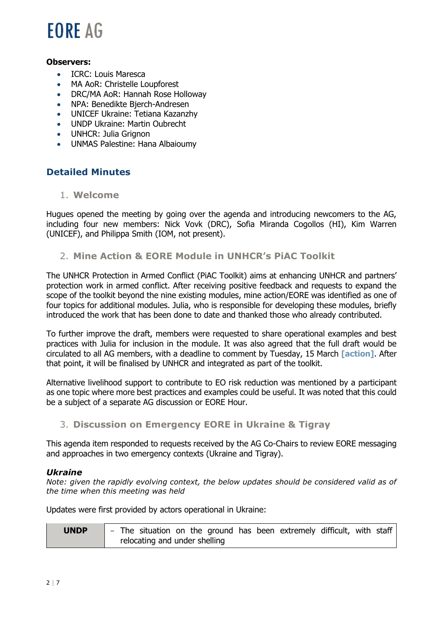## **FORE AG**

#### **Observers:**

- ICRC: Louis Maresca
- MA AoR: Christelle Loupforest
- DRC/MA AoR: Hannah Rose Holloway
- NPA: Benedikte Bjerch-Andresen
- UNICEF Ukraine: Tetiana Kazanzhy
- UNDP Ukraine: Martin Oubrecht
- UNHCR: Julia Grignon
- UNMAS Palestine: Hana Albaioumy

### **Detailed Minutes**

#### 1. **Welcome**

Hugues opened the meeting by going over the agenda and introducing newcomers to the AG, including four new members: Nick Vovk (DRC), Sofia Miranda Cogollos (HI), Kim Warren (UNICEF), and Philippa Smith (IOM, not present).

#### 2. **Mine Action & EORE Module in UNHCR's PiAC Toolkit**

The UNHCR Protection in Armed Conflict (PiAC Toolkit) aims at enhancing UNHCR and partners' protection work in armed conflict. After receiving positive feedback and requests to expand the scope of the toolkit beyond the nine existing modules, mine action/EORE was identified as one of four topics for additional modules. Julia, who is responsible for developing these modules, briefly introduced the work that has been done to date and thanked those who already contributed.

To further improve the draft, members were requested to share operational examples and best practices with Julia for inclusion in the module. It was also agreed that the full draft would be circulated to all AG members, with a deadline to comment by Tuesday, 15 March **[action]**. After that point, it will be finalised by UNHCR and integrated as part of the toolkit.

Alternative livelihood support to contribute to EO risk reduction was mentioned by a participant as one topic where more best practices and examples could be useful. It was noted that this could be a subject of a separate AG discussion or EORE Hour.

#### 3. **Discussion on Emergency EORE in Ukraine & Tigray**

This agenda item responded to requests received by the AG Co-Chairs to review EORE messaging and approaches in two emergency contexts (Ukraine and Tigray).

#### *Ukraine*

*Note: given the rapidly evolving context, the below updates should be considered valid as of the time when this meeting was held*

Updates were first provided by actors operational in Ukraine:

| <b>UNDP</b> | $\blacksquare$ - The situation on the ground has been extremely difficult, with staff |
|-------------|---------------------------------------------------------------------------------------|
|             | relocating and under shelling                                                         |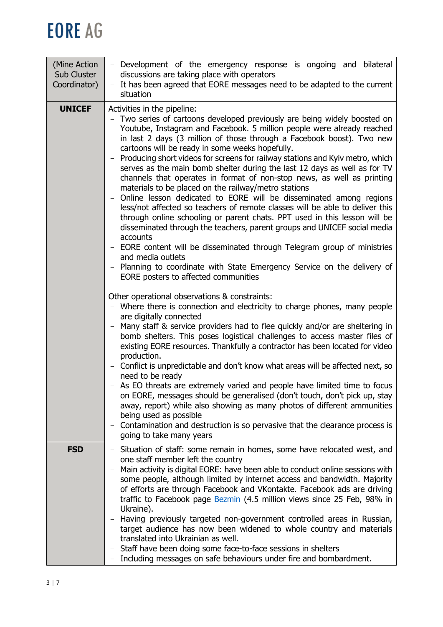# **EORE AG**

| - Development of the emergency response is ongoing and bilateral<br>discussions are taking place with operators<br>It has been agreed that EORE messages need to be adapted to the current<br>$-$<br>situation                                                                                                                                                                                                                                                                                                                                                                                                                                                                                                                                                                                                                                                                                                                                                                                                                                                                                                                                                                                                                                                                                                                                                                                                                                                                                                                                                                                                                                                                                                                                                                                                                                                                                                                                                                                                                                                          |
|-------------------------------------------------------------------------------------------------------------------------------------------------------------------------------------------------------------------------------------------------------------------------------------------------------------------------------------------------------------------------------------------------------------------------------------------------------------------------------------------------------------------------------------------------------------------------------------------------------------------------------------------------------------------------------------------------------------------------------------------------------------------------------------------------------------------------------------------------------------------------------------------------------------------------------------------------------------------------------------------------------------------------------------------------------------------------------------------------------------------------------------------------------------------------------------------------------------------------------------------------------------------------------------------------------------------------------------------------------------------------------------------------------------------------------------------------------------------------------------------------------------------------------------------------------------------------------------------------------------------------------------------------------------------------------------------------------------------------------------------------------------------------------------------------------------------------------------------------------------------------------------------------------------------------------------------------------------------------------------------------------------------------------------------------------------------------|
| Activities in the pipeline:<br>- Two series of cartoons developed previously are being widely boosted on<br>Youtube, Instagram and Facebook. 5 million people were already reached<br>in last 2 days (3 million of those through a Facebook boost). Two new<br>cartoons will be ready in some weeks hopefully.<br>- Producing short videos for screens for railway stations and Kyiv metro, which<br>serves as the main bomb shelter during the last 12 days as well as for TV<br>channels that operates in format of non-stop news, as well as printing<br>materials to be placed on the railway/metro stations<br>Online lesson dedicated to EORE will be disseminated among regions<br>less/not affected so teachers of remote classes will be able to deliver this<br>through online schooling or parent chats. PPT used in this lesson will be<br>disseminated through the teachers, parent groups and UNICEF social media<br>accounts<br>- EORE content will be disseminated through Telegram group of ministries<br>and media outlets<br>- Planning to coordinate with State Emergency Service on the delivery of<br>EORE posters to affected communities<br>Other operational observations & constraints:<br>- Where there is connection and electricity to charge phones, many people<br>are digitally connected<br>- Many staff & service providers had to flee quickly and/or are sheltering in<br>bomb shelters. This poses logistical challenges to access master files of<br>existing EORE resources. Thankfully a contractor has been located for video<br>production.<br>- Conflict is unpredictable and don't know what areas will be affected next, so<br>need to be ready<br>- As EO threats are extremely varied and people have limited time to focus<br>on EORE, messages should be generalised (don't touch, don't pick up, stay<br>away, report) while also showing as many photos of different ammunities<br>being used as possible<br>Contamination and destruction is so pervasive that the clearance process is<br>going to take many years |
| - Situation of staff: some remain in homes, some have relocated west, and                                                                                                                                                                                                                                                                                                                                                                                                                                                                                                                                                                                                                                                                                                                                                                                                                                                                                                                                                                                                                                                                                                                                                                                                                                                                                                                                                                                                                                                                                                                                                                                                                                                                                                                                                                                                                                                                                                                                                                                               |
| one staff member left the country<br>Main activity is digital EORE: have been able to conduct online sessions with<br>some people, although limited by internet access and bandwidth. Majority<br>of efforts are through Facebook and VKontakte. Facebook ads are driving<br>traffic to Facebook page Bezmin (4.5 million views since 25 Feb, 98% in<br>Ukraine).<br>Having previously targeted non-government controlled areas in Russian,<br>target audience has now been widened to whole country and materials<br>translated into Ukrainian as well.<br>Staff have been doing some face-to-face sessions in shelters<br>Including messages on safe behaviours under fire and bombardment.                                                                                                                                                                                                                                                                                                                                                                                                                                                                                                                                                                                                                                                                                                                                                                                                                                                                                                                                                                                                                                                                                                                                                                                                                                                                                                                                                                           |
|                                                                                                                                                                                                                                                                                                                                                                                                                                                                                                                                                                                                                                                                                                                                                                                                                                                                                                                                                                                                                                                                                                                                                                                                                                                                                                                                                                                                                                                                                                                                                                                                                                                                                                                                                                                                                                                                                                                                                                                                                                                                         |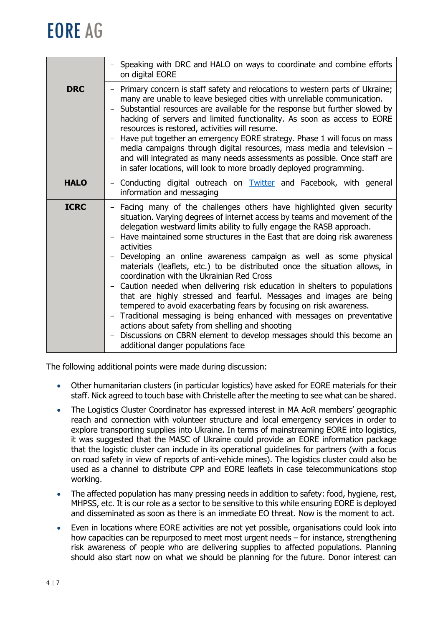# **FORE AG**

|             | - Speaking with DRC and HALO on ways to coordinate and combine efforts<br>on digital EORE                                                                                                                                                                                                                                                                                                                                                                                                                                                                                                                                                                                                                                                                                                                                                                                                                                                                                                    |
|-------------|----------------------------------------------------------------------------------------------------------------------------------------------------------------------------------------------------------------------------------------------------------------------------------------------------------------------------------------------------------------------------------------------------------------------------------------------------------------------------------------------------------------------------------------------------------------------------------------------------------------------------------------------------------------------------------------------------------------------------------------------------------------------------------------------------------------------------------------------------------------------------------------------------------------------------------------------------------------------------------------------|
| <b>DRC</b>  | Primary concern is staff safety and relocations to western parts of Ukraine;<br>many are unable to leave besieged cities with unreliable communication.<br>Substantial resources are available for the response but further slowed by<br>hacking of servers and limited functionality. As soon as access to EORE<br>resources is restored, activities will resume.<br>Have put together an emergency EORE strategy. Phase 1 will focus on mass<br>$ \,$<br>media campaigns through digital resources, mass media and television -<br>and will integrated as many needs assessments as possible. Once staff are<br>in safer locations, will look to more broadly deployed programming.                                                                                                                                                                                                                                                                                                        |
| <b>HALO</b> | Conducting digital outreach on <b>Twitter</b> and Facebook, with general<br>information and messaging                                                                                                                                                                                                                                                                                                                                                                                                                                                                                                                                                                                                                                                                                                                                                                                                                                                                                        |
| <b>ICRC</b> | Facing many of the challenges others have highlighted given security<br>situation. Varying degrees of internet access by teams and movement of the<br>delegation westward limits ability to fully engage the RASB approach.<br>Have maintained some structures in the East that are doing risk awareness<br>activities<br>Developing an online awareness campaign as well as some physical<br>materials (leaflets, etc.) to be distributed once the situation allows, in<br>coordination with the Ukrainian Red Cross<br>Caution needed when delivering risk education in shelters to populations<br>that are highly stressed and fearful. Messages and images are being<br>tempered to avoid exacerbating fears by focusing on risk awareness.<br>- Traditional messaging is being enhanced with messages on preventative<br>actions about safety from shelling and shooting<br>Discussions on CBRN element to develop messages should this become an<br>additional danger populations face |

The following additional points were made during discussion:

- Other humanitarian clusters (in particular logistics) have asked for EORE materials for their staff. Nick agreed to touch base with Christelle after the meeting to see what can be shared.
- The Logistics Cluster Coordinator has expressed interest in MA AoR members' geographic reach and connection with volunteer structure and local emergency services in order to explore transporting supplies into Ukraine. In terms of mainstreaming EORE into logistics, it was suggested that the MASC of Ukraine could provide an EORE information package that the logistic cluster can include in its operational guidelines for partners (with a focus on road safety in view of reports of anti-vehicle mines). The logistics cluster could also be used as a channel to distribute CPP and EORE leaflets in case telecommunications stop working.
- The affected population has many pressing needs in addition to safety: food, hygiene, rest, MHPSS, etc. It is our role as a sector to be sensitive to this while ensuring EORE is deployed and disseminated as soon as there is an immediate EO threat. Now is the moment to act.
- Even in locations where EORE activities are not yet possible, organisations could look into how capacities can be repurposed to meet most urgent needs – for instance, strengthening risk awareness of people who are delivering supplies to affected populations. Planning should also start now on what we should be planning for the future. Donor interest can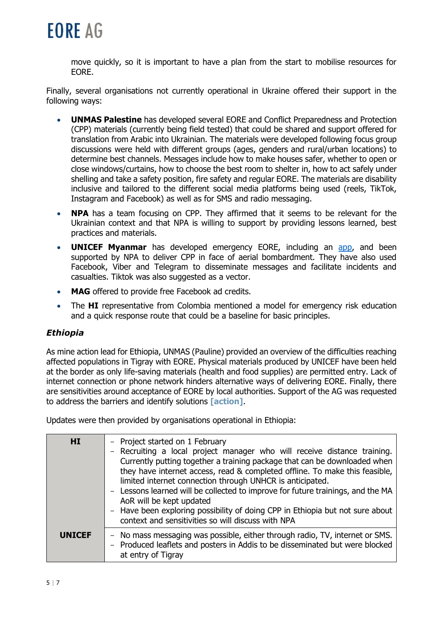

move quickly, so it is important to have a plan from the start to mobilise resources for EORE.

Finally, several organisations not currently operational in Ukraine offered their support in the following ways:

- **UNMAS Palestine** has developed several EORE and Conflict Preparedness and Protection (CPP) materials (currently being field tested) that could be shared and support offered for translation from Arabic into Ukrainian. The materials were developed following focus group discussions were held with different groups (ages, genders and rural/urban locations) to determine best channels. Messages include how to make houses safer, whether to open or close windows/curtains, how to choose the best room to shelter in, how to act safely under shelling and take a safety position, fire safety and regular EORE. The materials are disability inclusive and tailored to the different social media platforms being used (reels, TikTok, Instagram and Facebook) as well as for SMS and radio messaging.
- **NPA** has a team focusing on CPP. They affirmed that it seems to be relevant for the Ukrainian context and that NPA is willing to support by providing lessons learned, best practices and materials.
- **UNICEF Myanmar** has developed emergency EORE, including an [app,](https://play.google.com/store/apps/details?id=com.NGO.MREMyanmar&hl=en_US&gl=US) and been supported by NPA to deliver CPP in face of aerial bombardment. They have also used Facebook, Viber and Telegram to disseminate messages and facilitate incidents and casualties. Tiktok was also suggested as a vector.
- **MAG** offered to provide free Facebook ad credits.
- The **HI** representative from Colombia mentioned a model for emergency risk education and a quick response route that could be a baseline for basic principles.

#### *Ethiopia*

As mine action lead for Ethiopia, UNMAS (Pauline) provided an overview of the difficulties reaching affected populations in Tigray with EORE. Physical materials produced by UNICEF have been held at the border as only life-saving materials (health and food supplies) are permitted entry. Lack of internet connection or phone network hinders alternative ways of delivering EORE. Finally, there are sensitivities around acceptance of EORE by local authorities. Support of the AG was requested to address the barriers and identify solutions **[action]**.

Updates were then provided by organisations operational in Ethiopia:

| <b>HI</b>     | - Project started on 1 February<br>- Recruiting a local project manager who will receive distance training.<br>Currently putting together a training package that can be downloaded when<br>they have internet access, read & completed offline. To make this feasible,<br>limited internet connection through UNHCR is anticipated.<br>- Lessons learned will be collected to improve for future trainings, and the MA<br>AoR will be kept updated<br>- Have been exploring possibility of doing CPP in Ethiopia but not sure about<br>context and sensitivities so will discuss with NPA |
|---------------|--------------------------------------------------------------------------------------------------------------------------------------------------------------------------------------------------------------------------------------------------------------------------------------------------------------------------------------------------------------------------------------------------------------------------------------------------------------------------------------------------------------------------------------------------------------------------------------------|
| <b>UNICEF</b> | - No mass messaging was possible, either through radio, TV, internet or SMS.<br>- Produced leaflets and posters in Addis to be disseminated but were blocked<br>at entry of Tigray                                                                                                                                                                                                                                                                                                                                                                                                         |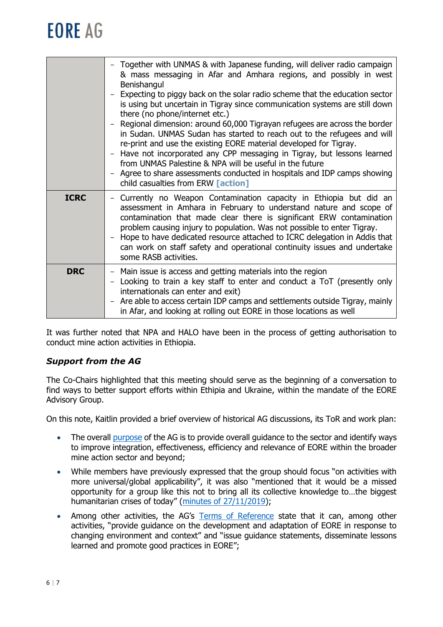# **EORE AG**

|             | - Together with UNMAS & with Japanese funding, will deliver radio campaign<br>& mass messaging in Afar and Amhara regions, and possibly in west<br>Benishangul<br>Expecting to piggy back on the solar radio scheme that the education sector<br>is using but uncertain in Tigray since communication systems are still down<br>there (no phone/internet etc.)<br>Regional dimension: around 60,000 Tigrayan refugees are across the border<br>in Sudan. UNMAS Sudan has started to reach out to the refugees and will<br>re-print and use the existing EORE material developed for Tigray.<br>Have not incorporated any CPP messaging in Tigray, but lessons learned<br>from UNMAS Palestine & NPA will be useful in the future<br>- Agree to share assessments conducted in hospitals and IDP camps showing<br>child casualties from ERW <b>[action]</b> |
|-------------|------------------------------------------------------------------------------------------------------------------------------------------------------------------------------------------------------------------------------------------------------------------------------------------------------------------------------------------------------------------------------------------------------------------------------------------------------------------------------------------------------------------------------------------------------------------------------------------------------------------------------------------------------------------------------------------------------------------------------------------------------------------------------------------------------------------------------------------------------------|
| <b>ICRC</b> | Currently no Weapon Contamination capacity in Ethiopia but did an<br>assessment in Amhara in February to understand nature and scope of<br>contamination that made clear there is significant ERW contamination<br>problem causing injury to population. Was not possible to enter Tigray.<br>Hope to have dedicated resource attached to ICRC delegation in Addis that<br>can work on staff safety and operational continuity issues and undertake<br>some RASB activities.                                                                                                                                                                                                                                                                                                                                                                               |
| <b>DRC</b>  | - Main issue is access and getting materials into the region<br>Looking to train a key staff to enter and conduct a ToT (presently only<br>internationals can enter and exit)<br>- Are able to access certain IDP camps and settlements outside Tigray, mainly<br>in Afar, and looking at rolling out EORE in those locations as well                                                                                                                                                                                                                                                                                                                                                                                                                                                                                                                      |

It was further noted that NPA and HALO have been in the process of getting authorisation to conduct mine action activities in Ethiopia.

### *Support from the AG*

The Co-Chairs highlighted that this meeting should serve as the beginning of a conversation to find ways to better support efforts within Ethipia and Ukraine, within the mandate of the EORE Advisory Group.

On this note, Kaitlin provided a brief overview of historical AG discussions, its ToR and work plan:

- The overall [purpose](https://www.gichd.org/en/our-response/explosive-ordnance-risk-education/advisory-group/) of the AG is to provide overall quidance to the sector and identify ways to improve integration, effectiveness, efficiency and relevance of EORE within the broader mine action sector and beyond;
- While members have previously expressed that the group should focus "on activities with more universal/global applicability", it was also "mentioned that it would be a missed opportunity for a group like this not to bring all its collective knowledge to…the biggest humanitarian crises of today" ([minutes of 27/11/2019\)](https://www.gichd.org/fileadmin/GICHD/about-us/media/Approved_Minutes_for_EORE_AG_Meeting_-_27_November_2019.pdf),
- Among other activities, the AG's [Terms of Reference](https://www.gichd.org/fileadmin/GICHD-resources/info-documents/EORE_Advisory_Group/EORE_AG_TOR_Dec_2021.pdf) state that it can, among other activities, "provide guidance on the development and adaptation of EORE in response to changing environment and context" and "issue guidance statements, disseminate lessons learned and promote good practices in EORE";